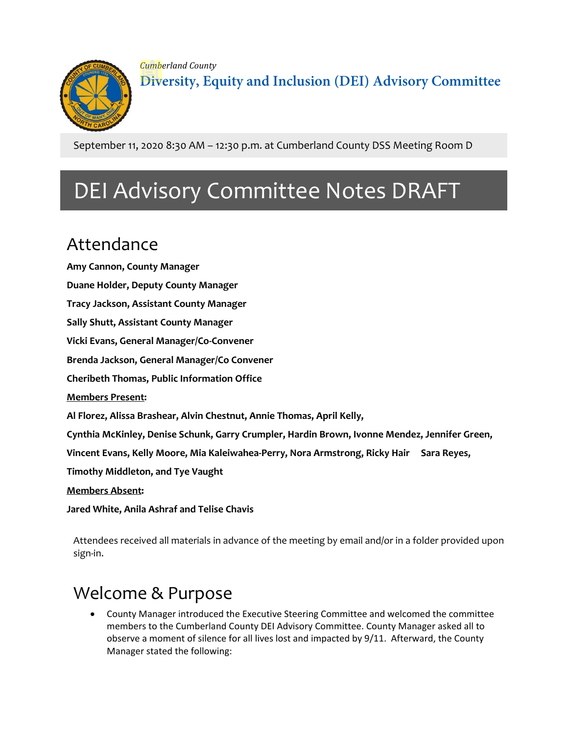

*Cumberland County* **Diversity, Equity and Inclusion (DEI) Advisory Committee**

September 11, 2020 8:30 AM – 12:30 p.m. at Cumberland County DSS Meeting Room D

# DEI Advisory Committee Notes DRAFT

# Attendance

**Amy Cannon, County Manager Duane Holder, Deputy County Manager Tracy Jackson, Assistant County Manager Sally Shutt, Assistant County Manager Vicki Evans, General Manager/Co-Convener Brenda Jackson, General Manager/Co Convener Cheribeth Thomas, Public Information Office Members Present: Al Florez, Alissa Brashear, Alvin Chestnut, Annie Thomas, April Kelly, Cynthia McKinley, Denise Schunk, Garry Crumpler, Hardin Brown, Ivonne Mendez, Jennifer Green, Vincent Evans, Kelly Moore, Mia Kaleiwahea-Perry, Nora Armstrong, Ricky Hair Sara Reyes, Timothy Middleton, and Tye Vaught Members Absent: Jared White, Anila Ashraf and Telise Chavis**

Attendees received all materials in advance of the meeting by email and/or in a folder provided upon sign-in.

# Welcome & Purpose

• County Manager introduced the Executive Steering Committee and welcomed the committee members to the Cumberland County DEI Advisory Committee. County Manager asked all to observe a moment of silence for all lives lost and impacted by 9/11. Afterward, the County Manager stated the following: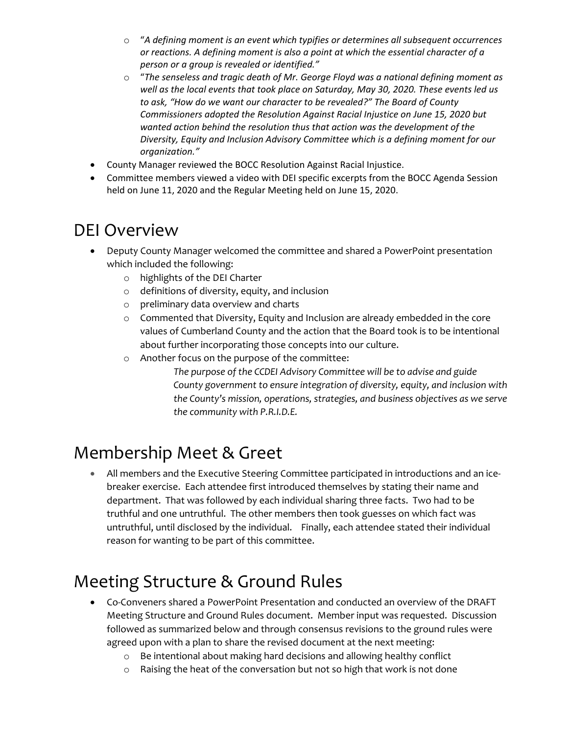- o "*A defining moment is an event which typifies or determines all subsequent occurrences or reactions. A defining moment is also a point at which the essential character of a person or a group is revealed or identified."*
- o "*The senseless and tragic death of Mr. George Floyd was a national defining moment as well as the local events that took place on Saturday, May 30, 2020. These events led us to ask, "How do we want our character to be revealed?" The Board of County Commissioners adopted the Resolution Against Racial Injustice on June 15, 2020 but wanted action behind the resolution thus that action was the development of the Diversity, Equity and Inclusion Advisory Committee which is a defining moment for our organization."*
- County Manager reviewed the BOCC Resolution Against Racial Injustice.
- Committee members viewed a video with DEI specific excerpts from the BOCC Agenda Session held on June 11, 2020 and the Regular Meeting held on June 15, 2020.

#### DEI Overview

- Deputy County Manager welcomed the committee and shared a PowerPoint presentation which included the following:
	- o highlights of the DEI Charter
	- o definitions of diversity, equity, and inclusion
	- o preliminary data overview and charts
	- o Commented that Diversity, Equity and Inclusion are already embedded in the core values of Cumberland County and the action that the Board took is to be intentional about further incorporating those concepts into our culture.
	- o Another focus on the purpose of the committee:
		- *The purpose of the CCDEI Advisory Committee will be to advise and guide County government to ensure integration of diversity, equity, and inclusion with the County's mission, operations, strategies, and business objectives as we serve the community with P.R.I.D.E.*

#### Membership Meet & Greet

• All members and the Executive Steering Committee participated in introductions and an icebreaker exercise. Each attendee first introduced themselves by stating their name and department. That was followed by each individual sharing three facts. Two had to be truthful and one untruthful. The other members then took guesses on which fact was untruthful, until disclosed by the individual. Finally, each attendee stated their individual reason for wanting to be part of this committee.

# Meeting Structure & Ground Rules

- Co-Conveners shared a PowerPoint Presentation and conducted an overview of the DRAFT Meeting Structure and Ground Rules document. Member input was requested. Discussion followed as summarized below and through consensus revisions to the ground rules were agreed upon with a plan to share the revised document at the next meeting:
	- o Be intentional about making hard decisions and allowing healthy conflict
	- o Raising the heat of the conversation but not so high that work is not done